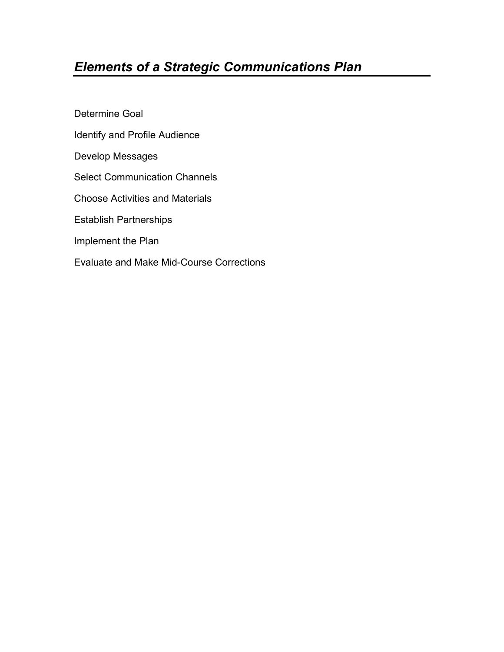# *Elements of a Strategic Communications Plan*

Determine Goal Identify and Profile Audience Develop Messages Select Communication Channels Choose Activities and Materials Establish Partnerships Implement the Plan Evaluate and Make Mid-Course Corrections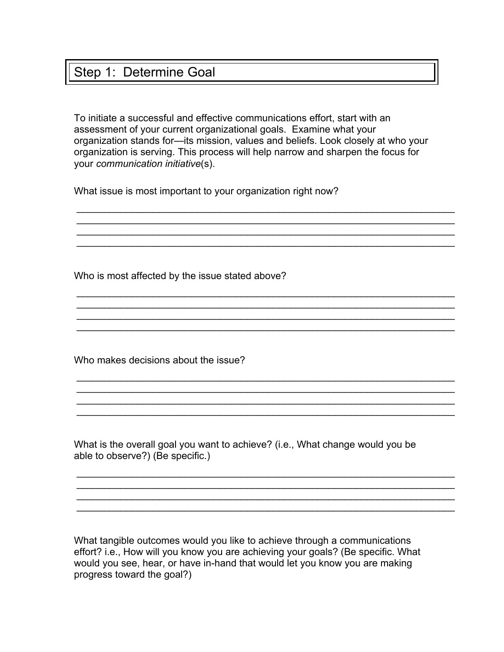## Step 1: Determine Goal

To initiate a successful and effective communications effort, start with an assessment of your current organizational goals. Examine what your organization stands for—its mission, values and beliefs. Look closely at who your organization is serving. This process will help narrow and sharpen the focus for your *communication initiative*(s).

\_\_\_\_\_\_\_\_\_\_\_\_\_\_\_\_\_\_\_\_\_\_\_\_\_\_\_\_\_\_\_\_\_\_\_\_\_\_\_\_\_\_\_\_\_\_\_\_\_\_\_\_\_\_\_\_\_\_\_\_\_\_\_\_\_\_\_\_\_

 $\_$  $\_$ 

 $\_$ 

\_\_\_\_\_\_\_\_\_\_\_\_\_\_\_\_\_\_\_\_\_\_\_\_\_\_\_\_\_\_\_\_\_\_\_\_\_\_\_\_\_\_\_\_\_\_\_\_\_\_\_\_\_\_\_\_\_\_\_\_\_\_\_\_\_\_\_\_\_

\_\_\_\_\_\_\_\_\_\_\_\_\_\_\_\_\_\_\_\_\_\_\_\_\_\_\_\_\_\_\_\_\_\_\_\_\_\_\_\_\_\_\_\_\_\_\_\_\_\_\_\_\_\_\_\_\_\_\_\_\_\_\_\_\_\_\_\_\_ \_\_\_\_\_\_\_\_\_\_\_\_\_\_\_\_\_\_\_\_\_\_\_\_\_\_\_\_\_\_\_\_\_\_\_\_\_\_\_\_\_\_\_\_\_\_\_\_\_\_\_\_\_\_\_\_\_\_\_\_\_\_\_\_\_\_\_\_\_  $\_$  $\_$ 

 $\_$ \_\_\_\_\_\_\_\_\_\_\_\_\_\_\_\_\_\_\_\_\_\_\_\_\_\_\_\_\_\_\_\_\_\_\_\_\_\_\_\_\_\_\_\_\_\_\_\_\_\_\_\_\_\_\_\_\_\_\_\_\_\_\_\_\_\_\_\_\_ \_\_\_\_\_\_\_\_\_\_\_\_\_\_\_\_\_\_\_\_\_\_\_\_\_\_\_\_\_\_\_\_\_\_\_\_\_\_\_\_\_\_\_\_\_\_\_\_\_\_\_\_\_\_\_\_\_\_\_\_\_\_\_\_\_\_\_\_\_ \_\_\_\_\_\_\_\_\_\_\_\_\_\_\_\_\_\_\_\_\_\_\_\_\_\_\_\_\_\_\_\_\_\_\_\_\_\_\_\_\_\_\_\_\_\_\_\_\_\_\_\_\_\_\_\_\_\_\_\_\_\_\_\_\_\_\_\_\_

What issue is most important to your organization right now?

Who is most affected by the issue stated above?

Who makes decisions about the issue?

What is the overall goal you want to achieve? (i.e., What change would you be able to observe?) (Be specific.)

What tangible outcomes would you like to achieve through a communications effort? i.e., How will you know you are achieving your goals? (Be specific. What would you see, hear, or have in-hand that would let you know you are making progress toward the goal?)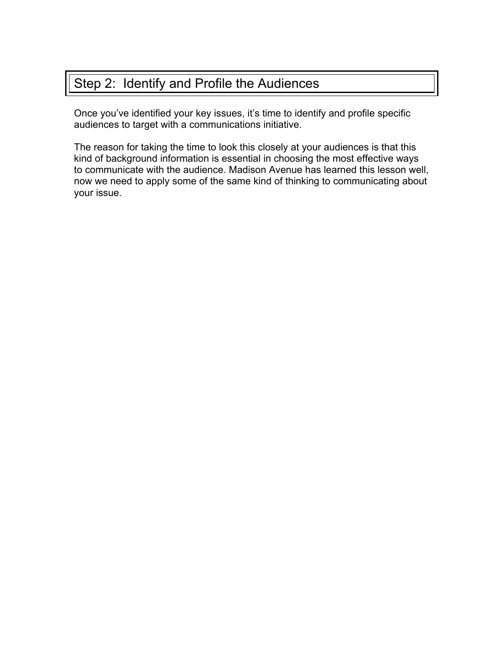# Step 2: Identify and Profile the Audiences

Once you've identified your key issues, it's time to identify and profile specific audiences to target with a communications initiative.

The reason for taking the time to look this closely at your audiences is that this kind of background information is essential in choosing the most effective ways to communicate with the audience. Madison Avenue has learned this lesson well, now we need to apply some of the same kind of thinking to communicating about your issue.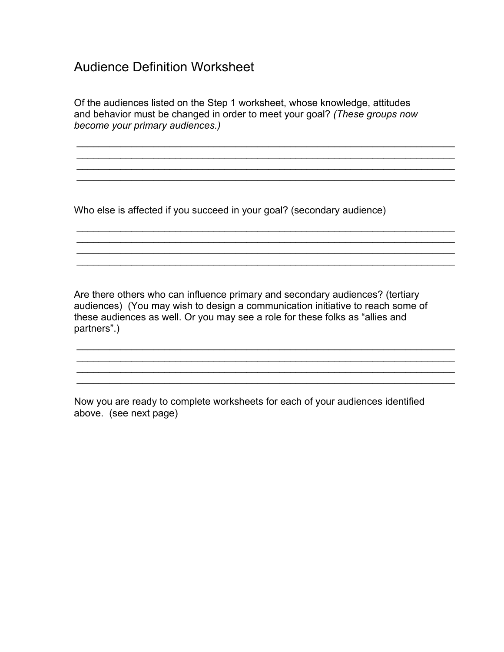# Audience Definition Worksheet

Of the audiences listed on the Step 1 worksheet, whose knowledge, attitudes and behavior must be changed in order to meet your goal? *(These groups now become your primary audiences.)*

 $\_$  $\_$ 

\_\_\_\_\_\_\_\_\_\_\_\_\_\_\_\_\_\_\_\_\_\_\_\_\_\_\_\_\_\_\_\_\_\_\_\_\_\_\_\_\_\_\_\_\_\_\_\_\_\_\_\_\_\_\_\_\_\_\_\_\_\_\_\_\_\_\_\_\_

\_\_\_\_\_\_\_\_\_\_\_\_\_\_\_\_\_\_\_\_\_\_\_\_\_\_\_\_\_\_\_\_\_\_\_\_\_\_\_\_\_\_\_\_\_\_\_\_\_\_\_\_\_\_\_\_\_\_\_\_\_\_\_\_\_\_\_\_\_

 $\mathcal{L}_\mathcal{L} = \mathcal{L}_\mathcal{L} = \mathcal{L}_\mathcal{L} = \mathcal{L}_\mathcal{L} = \mathcal{L}_\mathcal{L} = \mathcal{L}_\mathcal{L} = \mathcal{L}_\mathcal{L} = \mathcal{L}_\mathcal{L} = \mathcal{L}_\mathcal{L} = \mathcal{L}_\mathcal{L} = \mathcal{L}_\mathcal{L} = \mathcal{L}_\mathcal{L} = \mathcal{L}_\mathcal{L} = \mathcal{L}_\mathcal{L} = \mathcal{L}_\mathcal{L} = \mathcal{L}_\mathcal{L} = \mathcal{L}_\mathcal{L}$ 

Who else is affected if you succeed in your goal? (secondary audience)

Are there others who can influence primary and secondary audiences? (tertiary audiences) (You may wish to design a communication initiative to reach some of these audiences as well. Or you may see a role for these folks as "allies and partners".)

\_\_\_\_\_\_\_\_\_\_\_\_\_\_\_\_\_\_\_\_\_\_\_\_\_\_\_\_\_\_\_\_\_\_\_\_\_\_\_\_\_\_\_\_\_\_\_\_\_\_\_\_\_\_\_\_\_\_\_\_\_\_\_\_\_\_\_\_\_ \_\_\_\_\_\_\_\_\_\_\_\_\_\_\_\_\_\_\_\_\_\_\_\_\_\_\_\_\_\_\_\_\_\_\_\_\_\_\_\_\_\_\_\_\_\_\_\_\_\_\_\_\_\_\_\_\_\_\_\_\_\_\_\_\_\_\_\_\_

Now you are ready to complete worksheets for each of your audiences identified above. (see next page)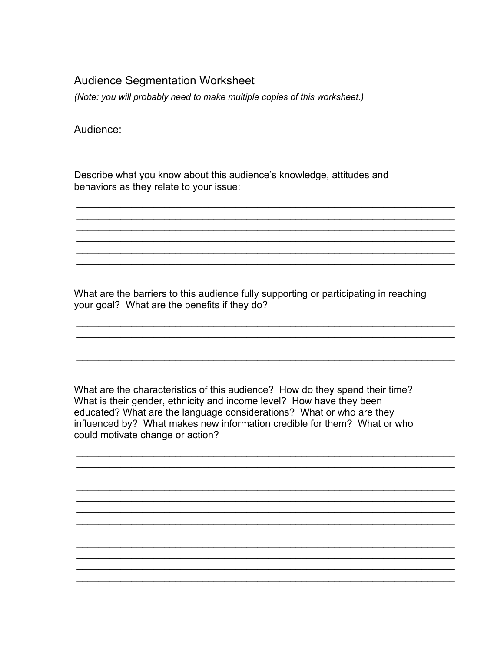### **Audience Segmentation Worksheet**

(Note: you will probably need to make multiple copies of this worksheet.)

Audience:

Describe what you know about this audience's knowledge, attitudes and behaviors as they relate to your issue:

What are the barriers to this audience fully supporting or participating in reaching your goal? What are the benefits if they do?

What are the characteristics of this audience? How do they spend their time? What is their gender, ethnicity and income level? How have they been educated? What are the language considerations? What or who are they influenced by? What makes new information credible for them? What or who could motivate change or action?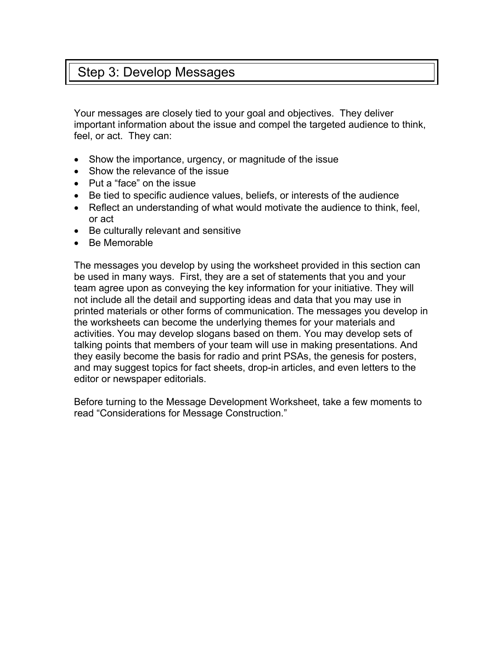# Step 3: Develop Messages

Your messages are closely tied to your goal and objectives. They deliver important information about the issue and compel the targeted audience to think, feel, or act. They can:

- Show the importance, urgency, or magnitude of the issue
- Show the relevance of the issue
- Put a "face" on the issue
- Be tied to specific audience values, beliefs, or interests of the audience
- Reflect an understanding of what would motivate the audience to think, feel, or act
- Be culturally relevant and sensitive
- Be Memorable

The messages you develop by using the worksheet provided in this section can be used in many ways. First, they are a set of statements that you and your team agree upon as conveying the key information for your initiative. They will not include all the detail and supporting ideas and data that you may use in printed materials or other forms of communication. The messages you develop in the worksheets can become the underlying themes for your materials and activities. You may develop slogans based on them. You may develop sets of talking points that members of your team will use in making presentations. And they easily become the basis for radio and print PSAs, the genesis for posters, and may suggest topics for fact sheets, drop-in articles, and even letters to the editor or newspaper editorials.

Before turning to the Message Development Worksheet, take a few moments to read "Considerations for Message Construction."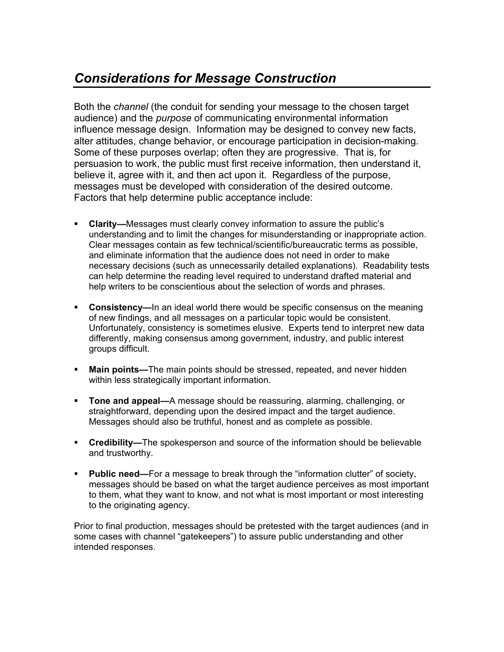# *Considerations for Message Construction*

Both the *channel* (the conduit for sending your message to the chosen target audience) and the *purpose* of communicating environmental information influence message design. Information may be designed to convey new facts, alter attitudes, change behavior, or encourage participation in decision-making. Some of these purposes overlap; often they are progressive. That is, for persuasion to work, the public must first receive information, then understand it, believe it, agree with it, and then act upon it. Regardless of the purpose, messages must be developed with consideration of the desired outcome. Factors that help determine public acceptance include:

- **Clarity—**Messages must clearly convey information to assure the public's understanding and to limit the changes for misunderstanding or inappropriate action. Clear messages contain as few technical/scientific/bureaucratic terms as possible, and eliminate information that the audience does not need in order to make necessary decisions (such as unnecessarily detailed explanations). Readability tests can help determine the reading level required to understand drafted material and help writers to be conscientious about the selection of words and phrases.
- **Consistency—**In an ideal world there would be specific consensus on the meaning of new findings, and all messages on a particular topic would be consistent. Unfortunately, consistency is sometimes elusive. Experts tend to interpret new data differently, making consensus among government, industry, and public interest groups difficult.
- **Main points—**The main points should be stressed, repeated, and never hidden within less strategically important information.
- **Tone and appeal—**A message should be reassuring, alarming, challenging, or straightforward, depending upon the desired impact and the target audience. Messages should also be truthful, honest and as complete as possible.
- **Credibility—**The spokesperson and source of the information should be believable and trustworthy.
- **Public need—**For a message to break through the "information clutter" of society, messages should be based on what the target audience perceives as most important to them, what they want to know, and not what is most important or most interesting to the originating agency.

Prior to final production, messages should be pretested with the target audiences (and in some cases with channel "gatekeepers") to assure public understanding and other intended responses.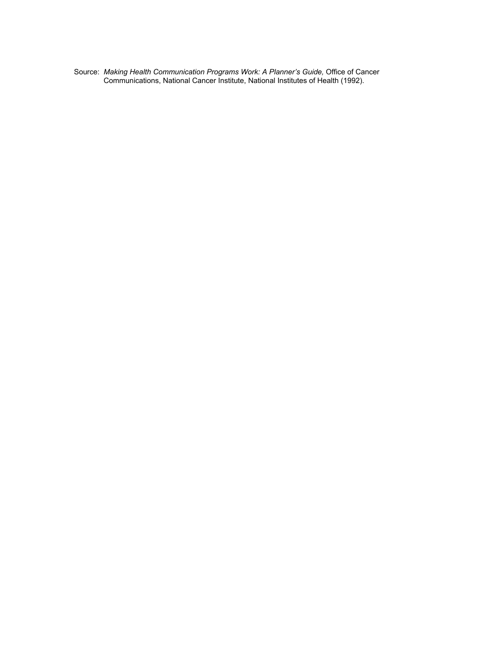Source: *Making Health Communication Programs Work: A Planner's Guide,* Office of Cancer Communications, National Cancer Institute, National Institutes of Health (1992).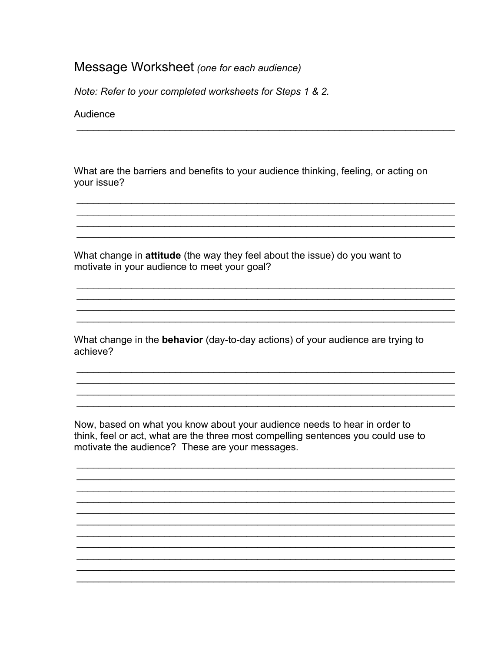### Message Worksheet (one for each audience)

Note: Refer to your completed worksheets for Steps 1 & 2.

Audience

What are the barriers and benefits to your audience thinking, feeling, or acting on your issue?

What change in attitude (the way they feel about the issue) do you want to motivate in your audience to meet your goal?

What change in the **behavior** (day-to-day actions) of your audience are trying to achieve?

Now, based on what you know about your audience needs to hear in order to think, feel or act, what are the three most compelling sentences you could use to motivate the audience? These are your messages.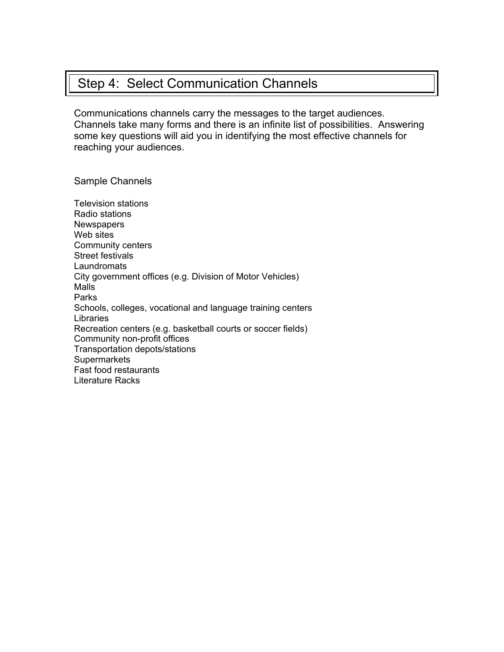# Step 4: Select Communication Channels

Communications channels carry the messages to the target audiences. Channels take many forms and there is an infinite list of possibilities. Answering some key questions will aid you in identifying the most effective channels for reaching your audiences.

Sample Channels

Television stations Radio stations **Newspapers** Web sites Community centers Street festivals Laundromats City government offices (e.g. Division of Motor Vehicles) Malls Parks Schools, colleges, vocational and language training centers Libraries Recreation centers (e.g. basketball courts or soccer fields) Community non-profit offices Transportation depots/stations **Supermarkets** Fast food restaurants Literature Racks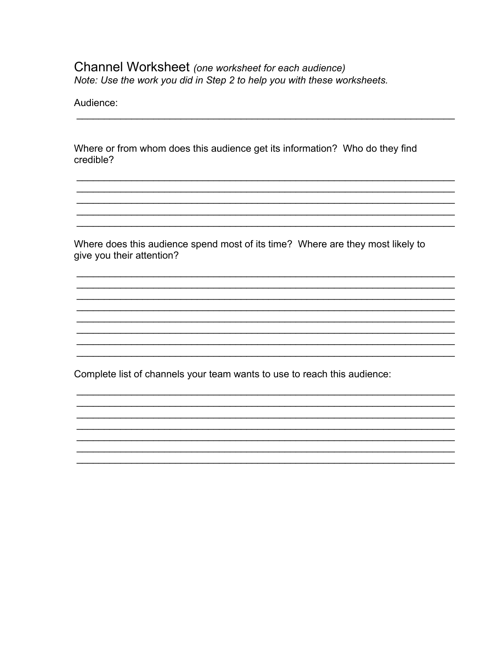### Channel Worksheet (one worksheet for each audience) Note: Use the work you did in Step 2 to help you with these worksheets.

Audience:

Where or from whom does this audience get its information? Who do they find credible?

Where does this audience spend most of its time? Where are they most likely to give you their attention?

Complete list of channels your team wants to use to reach this audience: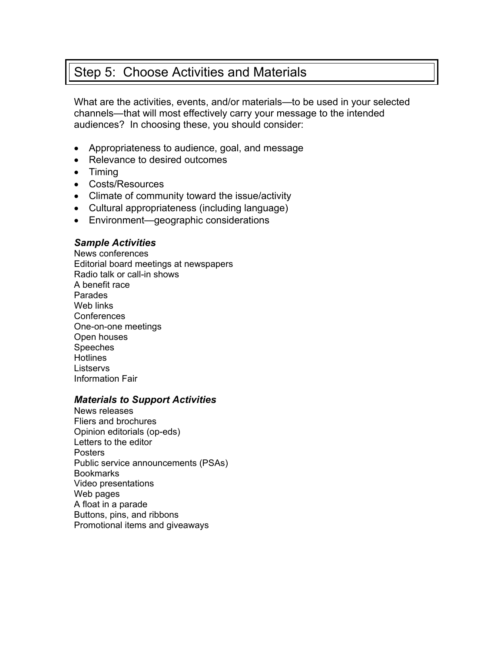# Step 5: Choose Activities and Materials

What are the activities, events, and/or materials—to be used in your selected channels—that will most effectively carry your message to the intended audiences? In choosing these, you should consider:

- Appropriateness to audience, goal, and message
- Relevance to desired outcomes
- Timing
- Costs/Resources
- Climate of community toward the issue/activity
- Cultural appropriateness (including language)
- Environment—geographic considerations

### *Sample Activities*

News conferences Editorial board meetings at newspapers Radio talk or call-in shows A benefit race Parades Web links Conferences One-on-one meetings Open houses Speeches **Hotlines Listservs** Information Fair

### *Materials to Support Activities*

News releases Fliers and brochures Opinion editorials (op-eds) Letters to the editor Posters Public service announcements (PSAs) **Bookmarks** Video presentations Web pages A float in a parade Buttons, pins, and ribbons Promotional items and giveaways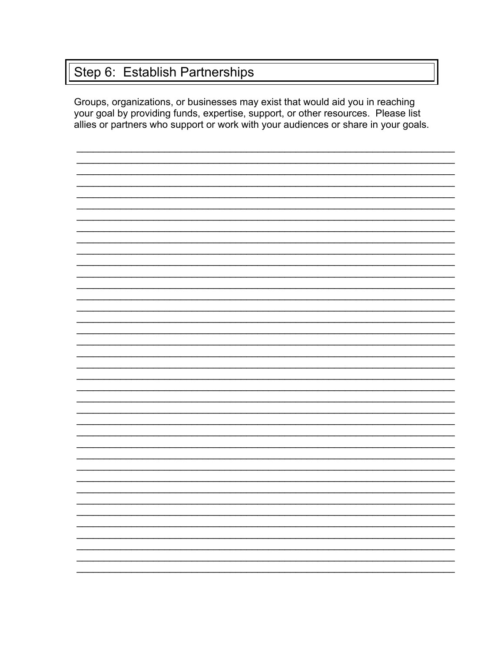# Step 6: Establish Partnerships

Groups, organizations, or businesses may exist that would aid you in reaching your goal by providing funds, expertise, support, or other resources. Please list allies or partners who support or work with your audiences or share in your goals.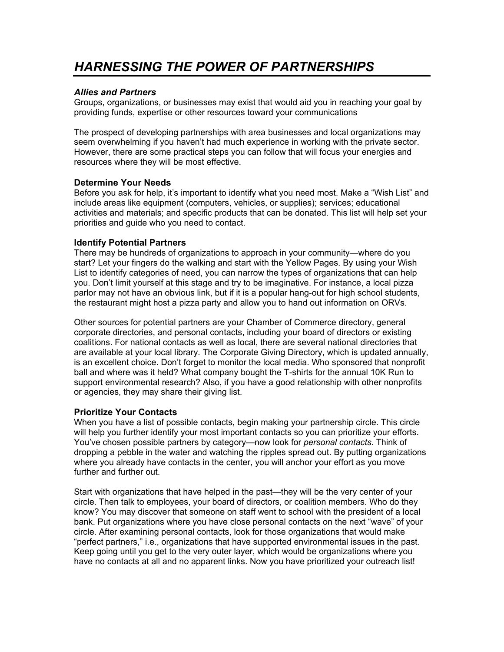# *HARNESSING THE POWER OF PARTNERSHIPS*

### *Allies and Partners*

Groups, organizations, or businesses may exist that would aid you in reaching your goal by providing funds, expertise or other resources toward your communications

The prospect of developing partnerships with area businesses and local organizations may seem overwhelming if you haven't had much experience in working with the private sector. However, there are some practical steps you can follow that will focus your energies and resources where they will be most effective.

#### **Determine Your Needs**

Before you ask for help, it's important to identify what you need most. Make a "Wish List" and include areas like equipment (computers, vehicles, or supplies); services; educational activities and materials; and specific products that can be donated. This list will help set your priorities and guide who you need to contact.

### **Identify Potential Partners**

There may be hundreds of organizations to approach in your community—where do you start? Let your fingers do the walking and start with the Yellow Pages. By using your Wish List to identify categories of need, you can narrow the types of organizations that can help you. Don't limit yourself at this stage and try to be imaginative. For instance, a local pizza parlor may not have an obvious link, but if it is a popular hang-out for high school students, the restaurant might host a pizza party and allow you to hand out information on ORVs.

Other sources for potential partners are your Chamber of Commerce directory, general corporate directories, and personal contacts, including your board of directors or existing coalitions. For national contacts as well as local, there are several national directories that are available at your local library. The Corporate Giving Directory, which is updated annually, is an excellent choice. Don't forget to monitor the local media. Who sponsored that nonprofit ball and where was it held? What company bought the T-shirts for the annual 10K Run to support environmental research? Also, if you have a good relationship with other nonprofits or agencies, they may share their giving list.

#### **Prioritize Your Contacts**

When you have a list of possible contacts, begin making your partnership circle. This circle will help you further identify your most important contacts so you can prioritize your efforts. You've chosen possible partners by category—now look for *personal contacts*. Think of dropping a pebble in the water and watching the ripples spread out. By putting organizations where you already have contacts in the center, you will anchor your effort as you move further and further out.

Start with organizations that have helped in the past—they will be the very center of your circle. Then talk to employees, your board of directors, or coalition members. Who do they know? You may discover that someone on staff went to school with the president of a local bank. Put organizations where you have close personal contacts on the next "wave" of your circle. After examining personal contacts, look for those organizations that would make "perfect partners," i.e., organizations that have supported environmental issues in the past. Keep going until you get to the very outer layer, which would be organizations where you have no contacts at all and no apparent links. Now you have prioritized your outreach list!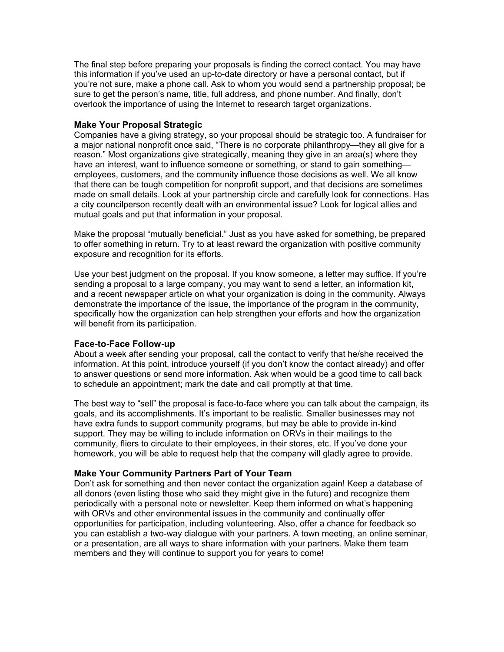The final step before preparing your proposals is finding the correct contact. You may have this information if you've used an up-to-date directory or have a personal contact, but if you're not sure, make a phone call. Ask to whom you would send a partnership proposal; be sure to get the person's name, title, full address, and phone number. And finally, don't overlook the importance of using the Internet to research target organizations.

### **Make Your Proposal Strategic**

Companies have a giving strategy, so your proposal should be strategic too. A fundraiser for a major national nonprofit once said, "There is no corporate philanthropy—they all give for a reason." Most organizations give strategically, meaning they give in an area(s) where they have an interest, want to influence someone or something, or stand to gain something employees, customers, and the community influence those decisions as well. We all know that there can be tough competition for nonprofit support, and that decisions are sometimes made on small details. Look at your partnership circle and carefully look for connections. Has a city councilperson recently dealt with an environmental issue? Look for logical allies and mutual goals and put that information in your proposal.

Make the proposal "mutually beneficial." Just as you have asked for something, be prepared to offer something in return. Try to at least reward the organization with positive community exposure and recognition for its efforts.

Use your best judgment on the proposal. If you know someone, a letter may suffice. If you're sending a proposal to a large company, you may want to send a letter, an information kit, and a recent newspaper article on what your organization is doing in the community. Always demonstrate the importance of the issue, the importance of the program in the community, specifically how the organization can help strengthen your efforts and how the organization will benefit from its participation.

#### **Face-to-Face Follow-up**

About a week after sending your proposal, call the contact to verify that he/she received the information. At this point, introduce yourself (if you don't know the contact already) and offer to answer questions or send more information. Ask when would be a good time to call back to schedule an appointment; mark the date and call promptly at that time.

The best way to "sell" the proposal is face-to-face where you can talk about the campaign, its goals, and its accomplishments. It's important to be realistic. Smaller businesses may not have extra funds to support community programs, but may be able to provide in-kind support. They may be willing to include information on ORVs in their mailings to the community, fliers to circulate to their employees, in their stores, etc. If you've done your homework, you will be able to request help that the company will gladly agree to provide.

### **Make Your Community Partners Part of Your Team**

Don't ask for something and then never contact the organization again! Keep a database of all donors (even listing those who said they might give in the future) and recognize them periodically with a personal note or newsletter. Keep them informed on what's happening with ORVs and other environmental issues in the community and continually offer opportunities for participation, including volunteering. Also, offer a chance for feedback so you can establish a two-way dialogue with your partners. A town meeting, an online seminar, or a presentation, are all ways to share information with your partners. Make them team members and they will continue to support you for years to come!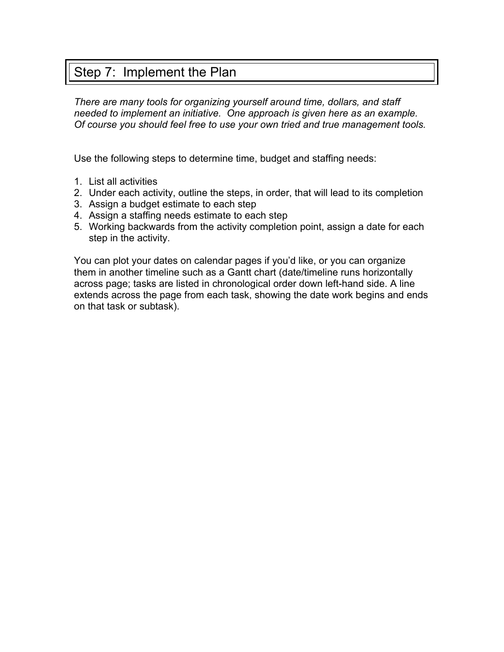# Step 7: Implement the Plan

*There are many tools for organizing yourself around time, dollars, and staff needed to implement an initiative. One approach is given here as an example. Of course you should feel free to use your own tried and true management tools.* 

Use the following steps to determine time, budget and staffing needs:

- 1. List all activities
- 2. Under each activity, outline the steps, in order, that will lead to its completion
- 3. Assign a budget estimate to each step
- 4. Assign a staffing needs estimate to each step
- 5. Working backwards from the activity completion point, assign a date for each step in the activity.

You can plot your dates on calendar pages if you'd like, or you can organize them in another timeline such as a Gantt chart (date/timeline runs horizontally across page; tasks are listed in chronological order down left-hand side. A line extends across the page from each task, showing the date work begins and ends on that task or subtask).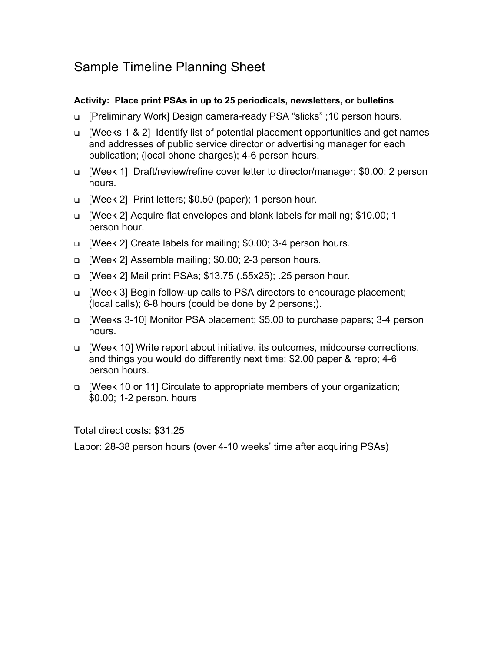# Sample Timeline Planning Sheet

### **Activity: Place print PSAs in up to 25 periodicals, newsletters, or bulletins**

- □ [Preliminary Work] Design camera-ready PSA "slicks" ;10 person hours.
- [Weeks 1 & 2] Identify list of potential placement opportunities and get names and addresses of public service director or advertising manager for each publication; (local phone charges); 4-6 person hours.
- [Week 1] Draft/review/refine cover letter to director/manager; \$0.00; 2 person hours.
- [Week 2] Print letters; \$0.50 (paper); 1 person hour.
- [Week 2] Acquire flat envelopes and blank labels for mailing; \$10.00; 1 person hour.
- □ [Week 2] Create labels for mailing; \$0.00; 3-4 person hours.
- [Week 2] Assemble mailing; \$0.00; 2-3 person hours.
- [Week 2] Mail print PSAs; \$13.75 (.55x25); .25 person hour.
- □ [Week 3] Begin follow-up calls to PSA directors to encourage placement; (local calls); 6-8 hours (could be done by 2 persons;).
- [Weeks 3-10] Monitor PSA placement; \$5.00 to purchase papers; 3-4 person hours.
- [Week 10] Write report about initiative, its outcomes, midcourse corrections, and things you would do differently next time; \$2.00 paper & repro; 4-6 person hours.
- □ [Week 10 or 11] Circulate to appropriate members of your organization; \$0.00; 1-2 person. hours

Total direct costs: \$31.25

Labor: 28-38 person hours (over 4-10 weeks' time after acquiring PSAs)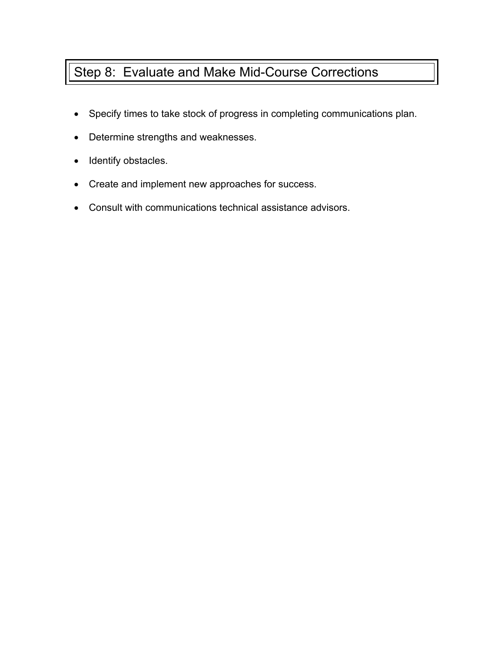# Step 8: Evaluate and Make Mid-Course Corrections

- Specify times to take stock of progress in completing communications plan.
- Determine strengths and weaknesses.
- Identify obstacles.
- Create and implement new approaches for success.
- Consult with communications technical assistance advisors.